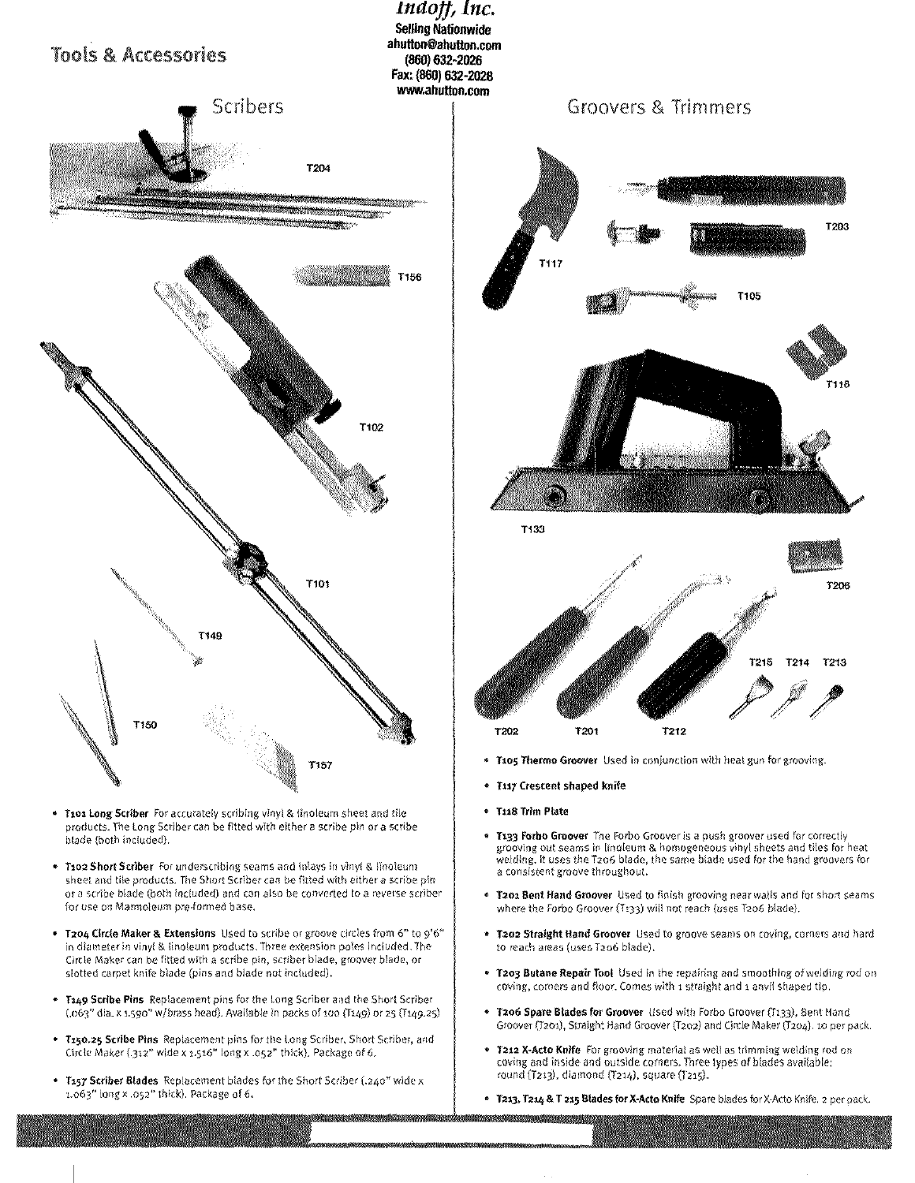

- Tios Long Scriber For accurately scribing vinyl & linoleum sheet and tile products. The Long Scriber can be fitted with either a scribe pin or a scribe blade (both included).
- **T102 Short Scriber** For underscribing seams and inlays in vinyl & linoleum sheet and tile products. The Short Scriber can be fitted with either a scribe pinor a scribe blade (both included) and can also he converted to a reverse scriber for use on Marmoleum pre-forined base.
- **• 1204** Circle Maker & Extensions Used to scribe or groove genies from 6" to 9'6" in diameter in vinyl & linoleum products. Three extension poles included. The Circle Maker can be fitted with a scribe pin, scriber blade, groover blade, or slotted carpet knife blade (pins and blade not inctuded).
- T149 Scribe Pins Replacement pins for the Long Scriber and the Short Scriber (.063" dia. x 1.590" w/brass head). Available in packs of 100 (T149) or 25 (T149.25)
- **• Ti5o.25** Scribe Pins Replacement pins for the tong Scriber, Short Scriber, and Circle Maker (.312" wide x 1.516" long x .052" thick). Package of 6.
- T157 Scriber Blades Replacement blades for the Short Scriber (.240" wide x t.>63" long x .052" thick). Package of 6.



- Taos Thermo Groover Used in conjunction with heatgun for grooving.
- T117 Crescent shaped knife
- 1118 Trim Nate

<u> Albanya Anggota ng Kabupatèn Alba</u>

- **• 1133** Barba Groover The Forbo Groover is a push groover used for correctly grooving out seams in linoleum & homogeneous vinyl sheets and tiles for heat welding. It uses the 1'206 blade, the same blade used for the hand groovers for a consistent groove throughout.
- **• 1201** Bent Hand Groover Used to finish grooving near wails and for short seams where the Forbo Groover (T133) will not reach (uses T206 blade).
- **• 1202** Straight Hand Groover Used to groove seams on caving, corners and hard to reach areas (uses T206 blade).
- **• 1203** Butane Repair Toot Used In the repairing and smoothing of welding rod or coving, corners and floor. Cornes with 1 straight and 1 anvil shaped tip.
- Groover (T201), Straight Hand Groover (T202) and Circle Maker (T204). to per pack. \* Tzo6 Spare Blades for Groover Used with Forbo Groover (T133), Bent Hand
- **• 1212** X-Acto Knife For grooving material as welt as trimming welding rod coving and inside and outside corners. Three types of blades available: round (T213), diamond (T214), square (T215).
- 1213,1214 & T **215** Blades for X-Acto Knife Spare blades for X-Acto Knif